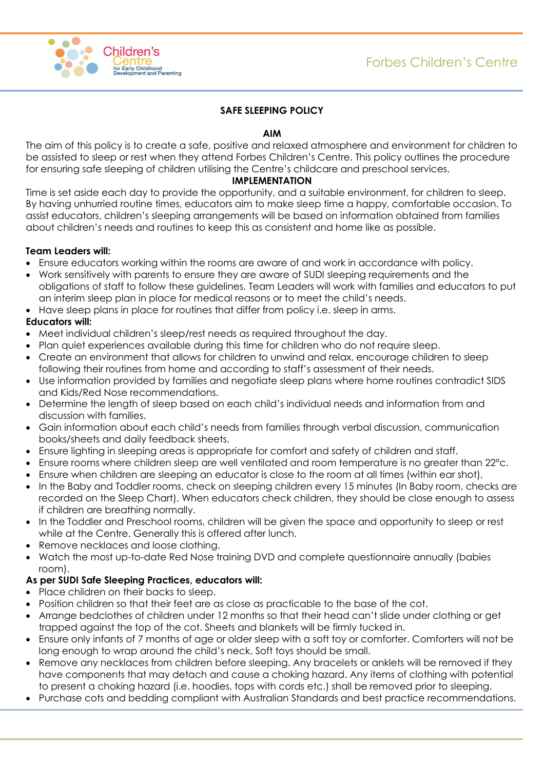

# **SAFE SLEEPING POLICY**

### **AIM**

The aim of this policy is to create a safe, positive and relaxed atmosphere and environment for children to be assisted to sleep or rest when they attend Forbes Children's Centre. This policy outlines the procedure for ensuring safe sleeping of children utilising the Centre's childcare and preschool services.

## **IMPLEMENTATION**

Time is set aside each day to provide the opportunity, and a suitable environment, for children to sleep. By having unhurried routine times, educators aim to make sleep time a happy, comfortable occasion. To assist educators, children's sleeping arrangements will be based on information obtained from families about children's needs and routines to keep this as consistent and home like as possible.

### **Team Leaders will:**

- Ensure educators working within the rooms are aware of and work in accordance with policy.
- Work sensitively with parents to ensure they are aware of SUDI sleeping requirements and the obligations of staff to follow these guidelines. Team Leaders will work with families and educators to put an interim sleep plan in place for medical reasons or to meet the child's needs.
- Have sleep plans in place for routines that differ from policy i.e. sleep in arms.

# **Educators will:**

- Meet individual children's sleep/rest needs as required throughout the day.
- Plan quiet experiences available during this time for children who do not require sleep.
- Create an environment that allows for children to unwind and relax, encourage children to sleep following their routines from home and according to staff's assessment of their needs.
- Use information provided by families and negotiate sleep plans where home routines contradict SIDS and Kids/Red Nose recommendations.
- Determine the length of sleep based on each child's individual needs and information from and discussion with families.
- Gain information about each child's needs from families through verbal discussion, communication books/sheets and daily feedback sheets.
- Ensure lighting in sleeping areas is appropriate for comfort and safety of children and staff.
- Ensure rooms where children sleep are well ventilated and room temperature is no greater than 22°c.
- Ensure when children are sleeping an educator is close to the room at all times (within ear shot).
- In the Baby and Toddler rooms, check on sleeping children every 15 minutes (In Baby room, checks are recorded on the Sleep Chart). When educators check children, they should be close enough to assess if children are breathing normally.
- In the Toddler and Preschool rooms, children will be given the space and opportunity to sleep or rest while at the Centre. Generally this is offered after lunch.
- Remove necklaces and loose clothing.
- Watch the most up-to-date Red Nose training DVD and complete questionnaire annually (babies room).

## **As per SUDI Safe Sleeping Practices, educators will:**

- Place children on their backs to sleep.
- Position children so that their feet are as close as practicable to the base of the cot.
- Arrange bedclothes of children under 12 months so that their head can't slide under clothing or get trapped against the top of the cot. Sheets and blankets will be firmly tucked in.
- Ensure only infants of 7 months of age or older sleep with a soft toy or comforter. Comforters will not be long enough to wrap around the child's neck. Soft toys should be small.
- Remove any necklaces from children before sleeping. Any bracelets or anklets will be removed if they have components that may detach and cause a choking hazard. Any items of clothing with potential to present a choking hazard (i.e. hoodies, tops with cords etc.) shall be removed prior to sleeping.
- Purchase cots and bedding compliant with Australian Standards and best practice recommendations.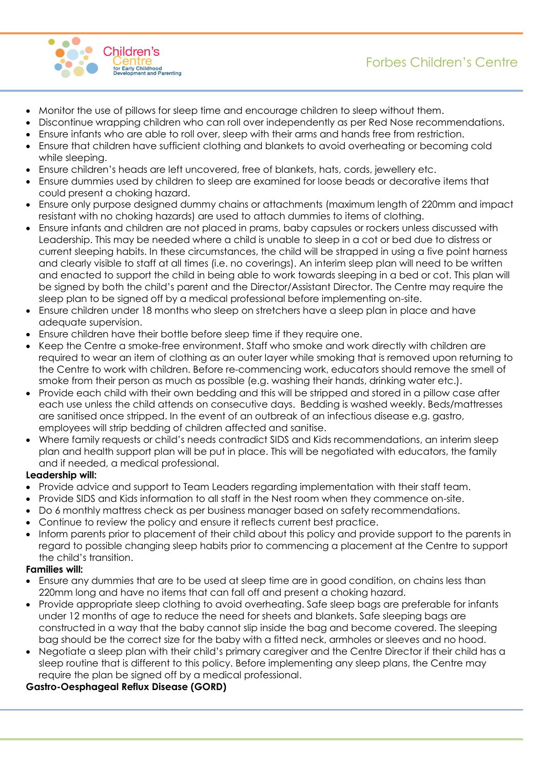



- Monitor the use of pillows for sleep time and encourage children to sleep without them.
- Discontinue wrapping children who can roll over independently as per Red Nose recommendations.
- Ensure infants who are able to roll over, sleep with their arms and hands free from restriction.
- Ensure that children have sufficient clothing and blankets to avoid overheating or becoming cold while sleeping.
- Ensure children's heads are left uncovered, free of blankets, hats, cords, jewellery etc.
- Ensure dummies used by children to sleep are examined for loose beads or decorative items that could present a choking hazard.
- Ensure only purpose designed dummy chains or attachments (maximum length of 220mm and impact resistant with no choking hazards) are used to attach dummies to items of clothing.
- Ensure infants and children are not placed in prams, baby capsules or rockers unless discussed with Leadership. This may be needed where a child is unable to sleep in a cot or bed due to distress or current sleeping habits. In these circumstances, the child will be strapped in using a five point harness and clearly visible to staff at all times (i.e. no coverings). An interim sleep plan will need to be written and enacted to support the child in being able to work towards sleeping in a bed or cot. This plan will be signed by both the child's parent and the Director/Assistant Director. The Centre may require the sleep plan to be signed off by a medical professional before implementing on-site.
- Ensure children under 18 months who sleep on stretchers have a sleep plan in place and have adequate supervision.
- Ensure children have their bottle before sleep time if they require one.
- Keep the Centre a smoke-free environment. Staff who smoke and work directly with children are required to wear an item of clothing as an outer layer while smoking that is removed upon returning to the Centre to work with children. Before re-commencing work, educators should remove the smell of smoke from their person as much as possible (e.g. washing their hands, drinking water etc.).
- Provide each child with their own bedding and this will be stripped and stored in a pillow case after each use unless the child attends on consecutive days. Bedding is washed weekly. Beds/mattresses are sanitised once stripped. In the event of an outbreak of an infectious disease e.g. gastro, employees will strip bedding of children affected and sanitise.
- Where family requests or child's needs contradict SIDS and Kids recommendations, an interim sleep plan and health support plan will be put in place. This will be negotiated with educators, the family and if needed, a medical professional.

#### **Leadership will:**

- Provide advice and support to Team Leaders regarding implementation with their staff team.
- Provide SIDS and Kids information to all staff in the Nest room when they commence on-site.
- Do 6 monthly mattress check as per business manager based on safety recommendations.
- Continue to review the policy and ensure it reflects current best practice.
- Inform parents prior to placement of their child about this policy and provide support to the parents in regard to possible changing sleep habits prior to commencing a placement at the Centre to support the child's transition.

#### **Families will:**

- Ensure any dummies that are to be used at sleep time are in good condition, on chains less than 220mm long and have no items that can fall off and present a choking hazard.
- Provide appropriate sleep clothing to avoid overheating. Safe sleep bags are preferable for infants under 12 months of age to reduce the need for sheets and blankets. Safe sleeping bags are constructed in a way that the baby cannot slip inside the bag and become covered. The sleeping bag should be the correct size for the baby with a fitted neck, armholes or sleeves and no hood.
- Negotiate a sleep plan with their child's primary caregiver and the Centre Director if their child has a sleep routine that is different to this policy. Before implementing any sleep plans, the Centre may require the plan be signed off by a medical professional.

## **Gastro-Oesphageal Reflux Disease (GORD)**